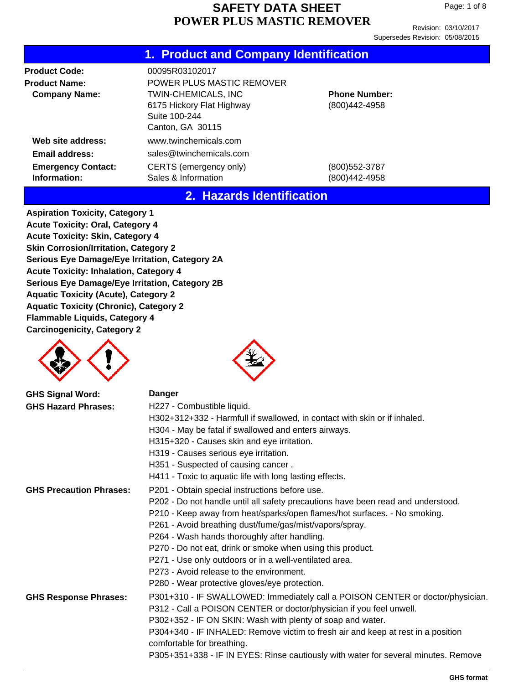Revision: 03/10/2017 Supersedes Revision: 05/08/2015

#### **1. Product and Company Identification**

| <b>Product Code:</b>                      | 00095R03102017                                                                               |                                       |
|-------------------------------------------|----------------------------------------------------------------------------------------------|---------------------------------------|
| <b>Product Name:</b>                      | POWER PLUS MASTIC REMOVER                                                                    |                                       |
| <b>Company Name:</b>                      | <b>TWIN-CHEMICALS, INC</b><br>6175 Hickory Flat Highway<br>Suite 100-244<br>Canton, GA 30115 | <b>Phone Number:</b><br>(800)442-4958 |
| Web site address:                         | www.twinchemicals.com                                                                        |                                       |
| Email address:                            | sales@twinchemicals.com                                                                      |                                       |
| <b>Emergency Contact:</b><br>Information: | CERTS (emergency only)<br>Sales & Information                                                | (800)552-3787<br>(800)442-4958        |

#### **2. Hazards Identification**

**Aspiration Toxicity, Category 1 Acute Toxicity: Oral, Category 4 Acute Toxicity: Skin, Category 4 Skin Corrosion/Irritation, Category 2 Serious Eye Damage/Eye Irritation, Category 2A Acute Toxicity: Inhalation, Category 4 Serious Eye Damage/Eye Irritation, Category 2B Aquatic Toxicity (Acute), Category 2 Aquatic Toxicity (Chronic), Category 2 Flammable Liquids, Category 4 Carcinogenicity, Category 2**





| <b>GHS Signal Word:</b>        | <b>Danger</b>                                                                                                  |
|--------------------------------|----------------------------------------------------------------------------------------------------------------|
| <b>GHS Hazard Phrases:</b>     | H227 - Combustible liquid.                                                                                     |
|                                | H302+312+332 - Harmfull if swallowed, in contact with skin or if inhaled.                                      |
|                                | H304 - May be fatal if swallowed and enters airways.                                                           |
|                                | H315+320 - Causes skin and eye irritation.                                                                     |
|                                | H319 - Causes serious eye irritation.                                                                          |
|                                | H351 - Suspected of causing cancer.                                                                            |
|                                | H411 - Toxic to aquatic life with long lasting effects.                                                        |
| <b>GHS Precaution Phrases:</b> | P201 - Obtain special instructions before use.                                                                 |
|                                | P202 - Do not handle until all safety precautions have been read and understood.                               |
|                                | P210 - Keep away from heat/sparks/open flames/hot surfaces. - No smoking.                                      |
|                                | P261 - Avoid breathing dust/fume/gas/mist/vapors/spray.                                                        |
|                                | P264 - Wash hands thoroughly after handling.                                                                   |
|                                | P270 - Do not eat, drink or smoke when using this product.                                                     |
|                                | P271 - Use only outdoors or in a well-ventilated area.                                                         |
|                                | P273 - Avoid release to the environment.                                                                       |
|                                | P280 - Wear protective gloves/eye protection.                                                                  |
| <b>GHS Response Phrases:</b>   | P301+310 - IF SWALLOWED: Immediately call a POISON CENTER or doctor/physician.                                 |
|                                | P312 - Call a POISON CENTER or doctor/physician if you feel unwell.                                            |
|                                | P302+352 - IF ON SKIN: Wash with plenty of soap and water.                                                     |
|                                | P304+340 - IF INHALED: Remove victim to fresh air and keep at rest in a position<br>comfortable for breathing. |
|                                | P305+351+338 - IF IN EYES: Rinse cautiously with water for several minutes. Remove                             |
|                                |                                                                                                                |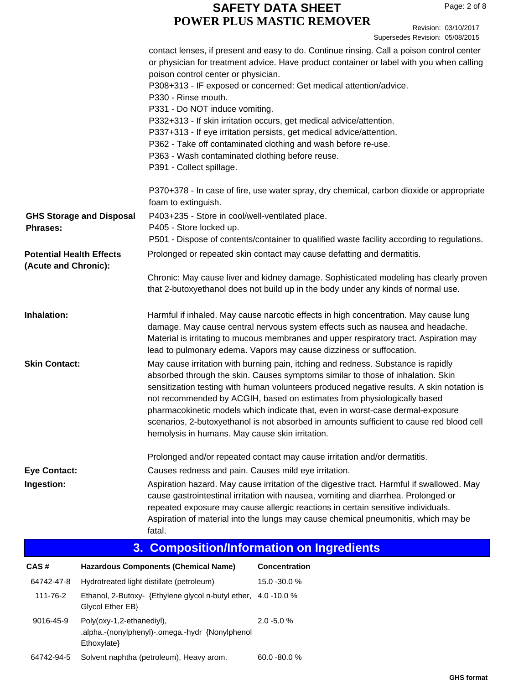Revision: 03/10/2017 ersedes Revision: 05/08/2015

|                                                         |                                          |                                                                                                                                                                             | Superseaes Revision. 05/06/2015                                                                                                                                                                                                                                                                                                                                                                                                                                                                                            |
|---------------------------------------------------------|------------------------------------------|-----------------------------------------------------------------------------------------------------------------------------------------------------------------------------|----------------------------------------------------------------------------------------------------------------------------------------------------------------------------------------------------------------------------------------------------------------------------------------------------------------------------------------------------------------------------------------------------------------------------------------------------------------------------------------------------------------------------|
|                                                         |                                          | poison control center or physician.<br>P330 - Rinse mouth.<br>P331 - Do NOT induce vomiting.<br>P363 - Wash contaminated clothing before reuse.<br>P391 - Collect spillage. | contact lenses, if present and easy to do. Continue rinsing. Call a poison control center<br>or physician for treatment advice. Have product container or label with you when calling<br>P308+313 - IF exposed or concerned: Get medical attention/advice.<br>P332+313 - If skin irritation occurs, get medical advice/attention.<br>P337+313 - If eye irritation persists, get medical advice/attention.<br>P362 - Take off contaminated clothing and wash before re-use.                                                 |
|                                                         |                                          | foam to extinguish.                                                                                                                                                         | P370+378 - In case of fire, use water spray, dry chemical, carbon dioxide or appropriate                                                                                                                                                                                                                                                                                                                                                                                                                                   |
| <b>Phrases:</b>                                         | <b>GHS Storage and Disposal</b>          | P403+235 - Store in cool/well-ventilated place.<br>P405 - Store locked up.                                                                                                  |                                                                                                                                                                                                                                                                                                                                                                                                                                                                                                                            |
|                                                         |                                          |                                                                                                                                                                             | P501 - Dispose of contents/container to qualified waste facility according to regulations.                                                                                                                                                                                                                                                                                                                                                                                                                                 |
| <b>Potential Health Effects</b><br>(Acute and Chronic): |                                          |                                                                                                                                                                             | Prolonged or repeated skin contact may cause defatting and dermatitis.                                                                                                                                                                                                                                                                                                                                                                                                                                                     |
|                                                         |                                          |                                                                                                                                                                             | Chronic: May cause liver and kidney damage. Sophisticated modeling has clearly proven<br>that 2-butoxyethanol does not build up in the body under any kinds of normal use.                                                                                                                                                                                                                                                                                                                                                 |
| Inhalation:                                             |                                          |                                                                                                                                                                             | Harmful if inhaled. May cause narcotic effects in high concentration. May cause lung<br>damage. May cause central nervous system effects such as nausea and headache.<br>Material is irritating to mucous membranes and upper respiratory tract. Aspiration may<br>lead to pulmonary edema. Vapors may cause dizziness or suffocation.                                                                                                                                                                                     |
| <b>Skin Contact:</b>                                    |                                          | hemolysis in humans. May cause skin irritation.                                                                                                                             | May cause irritation with burning pain, itching and redness. Substance is rapidly<br>absorbed through the skin. Causes symptoms similar to those of inhalation. Skin<br>sensitization testing with human volunteers produced negative results. A skin notation is<br>not recommended by ACGIH, based on estimates from physiologically based<br>pharmacokinetic models which indicate that, even in worst-case dermal-exposure<br>scenarios, 2-butoxyethanol is not absorbed in amounts sufficient to cause red blood cell |
|                                                         |                                          |                                                                                                                                                                             | Prolonged and/or repeated contact may cause irritation and/or dermatitis.                                                                                                                                                                                                                                                                                                                                                                                                                                                  |
| <b>Eye Contact:</b><br>Ingestion:                       |                                          | Causes redness and pain. Causes mild eye irritation.<br>fatal.                                                                                                              | Aspiration hazard. May cause irritation of the digestive tract. Harmful if swallowed. May<br>cause gastrointestinal irritation with nausea, vomiting and diarrhea. Prolonged or<br>repeated exposure may cause allergic reactions in certain sensitive individuals.<br>Aspiration of material into the lungs may cause chemical pneumonitis, which may be                                                                                                                                                                  |
|                                                         | 3.                                       |                                                                                                                                                                             | <b>Composition/Information on Ingredients</b>                                                                                                                                                                                                                                                                                                                                                                                                                                                                              |
| CAS#                                                    |                                          | <b>Hazardous Components (Chemical Name)</b>                                                                                                                                 | Concentration                                                                                                                                                                                                                                                                                                                                                                                                                                                                                                              |
| 64742-47-8                                              |                                          | Hydrotreated light distillate (petroleum)                                                                                                                                   | 15.0 -30.0 %                                                                                                                                                                                                                                                                                                                                                                                                                                                                                                               |
| 111-76-2                                                | Glycol Ether EB}                         | Ethanol, 2-Butoxy- {Ethylene glycol n-butyl ether, 4.0 -10.0 %                                                                                                              |                                                                                                                                                                                                                                                                                                                                                                                                                                                                                                                            |
| 9016-45-9                                               | Poly(oxy-1,2-ethanediyl),<br>Ethoxylate} | .alpha.-(nonylphenyl)-.omega.-hydr {Nonylphenol                                                                                                                             | $2.0 - 5.0 %$                                                                                                                                                                                                                                                                                                                                                                                                                                                                                                              |

64742-94-5 Solvent naphtha (petroleum), Heavy arom. 60.0 -80.0 %

Licensed to PDQ Manufacturing, Inc **GHS format**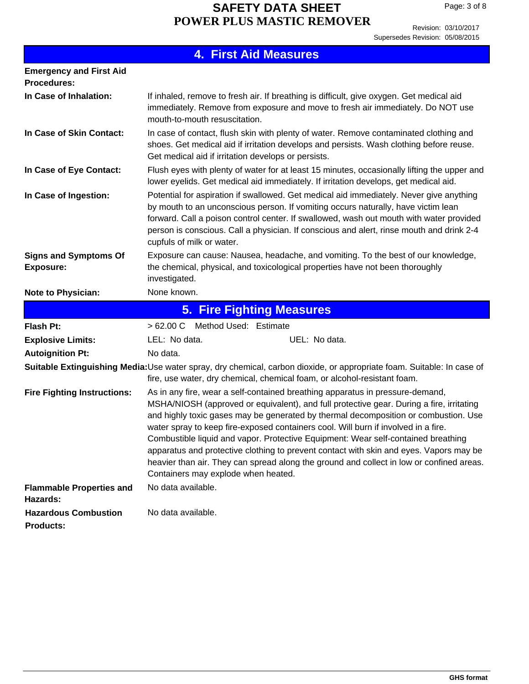Revision: 03/10/2017 Supersedes Revision: 05/08/2015

|  | <b>4. First Aid Measures</b> |
|--|------------------------------|
|  |                              |

| <b>Emergency and First Aid</b><br><b>Procedures:</b> |                                                                                                                                                                                                                                                                                                                                                                                                                                                                                                                                                                                                                                                                          |  |  |  |
|------------------------------------------------------|--------------------------------------------------------------------------------------------------------------------------------------------------------------------------------------------------------------------------------------------------------------------------------------------------------------------------------------------------------------------------------------------------------------------------------------------------------------------------------------------------------------------------------------------------------------------------------------------------------------------------------------------------------------------------|--|--|--|
| In Case of Inhalation:                               | If inhaled, remove to fresh air. If breathing is difficult, give oxygen. Get medical aid<br>immediately. Remove from exposure and move to fresh air immediately. Do NOT use<br>mouth-to-mouth resuscitation.                                                                                                                                                                                                                                                                                                                                                                                                                                                             |  |  |  |
| In Case of Skin Contact:                             | In case of contact, flush skin with plenty of water. Remove contaminated clothing and<br>shoes. Get medical aid if irritation develops and persists. Wash clothing before reuse.<br>Get medical aid if irritation develops or persists.                                                                                                                                                                                                                                                                                                                                                                                                                                  |  |  |  |
| In Case of Eye Contact:                              | Flush eyes with plenty of water for at least 15 minutes, occasionally lifting the upper and<br>lower eyelids. Get medical aid immediately. If irritation develops, get medical aid.                                                                                                                                                                                                                                                                                                                                                                                                                                                                                      |  |  |  |
| In Case of Ingestion:                                | Potential for aspiration if swallowed. Get medical aid immediately. Never give anything<br>by mouth to an unconscious person. If vomiting occurs naturally, have victim lean<br>forward. Call a poison control center. If swallowed, wash out mouth with water provided<br>person is conscious. Call a physician. If conscious and alert, rinse mouth and drink 2-4<br>cupfuls of milk or water.                                                                                                                                                                                                                                                                         |  |  |  |
| <b>Signs and Symptoms Of</b><br><b>Exposure:</b>     | Exposure can cause: Nausea, headache, and vomiting. To the best of our knowledge,<br>the chemical, physical, and toxicological properties have not been thoroughly<br>investigated.                                                                                                                                                                                                                                                                                                                                                                                                                                                                                      |  |  |  |
| <b>Note to Physician:</b>                            | None known.                                                                                                                                                                                                                                                                                                                                                                                                                                                                                                                                                                                                                                                              |  |  |  |
|                                                      |                                                                                                                                                                                                                                                                                                                                                                                                                                                                                                                                                                                                                                                                          |  |  |  |
|                                                      | <b>5. Fire Fighting Measures</b>                                                                                                                                                                                                                                                                                                                                                                                                                                                                                                                                                                                                                                         |  |  |  |
| <b>Flash Pt:</b>                                     | > 62.00 C Method Used: Estimate                                                                                                                                                                                                                                                                                                                                                                                                                                                                                                                                                                                                                                          |  |  |  |
| <b>Explosive Limits:</b>                             | LEL: No data.<br>UEL: No data.                                                                                                                                                                                                                                                                                                                                                                                                                                                                                                                                                                                                                                           |  |  |  |
| <b>Autoignition Pt:</b>                              | No data.                                                                                                                                                                                                                                                                                                                                                                                                                                                                                                                                                                                                                                                                 |  |  |  |
|                                                      | Suitable Extinguishing Media:Use water spray, dry chemical, carbon dioxide, or appropriate foam. Suitable: In case of<br>fire, use water, dry chemical, chemical foam, or alcohol-resistant foam.                                                                                                                                                                                                                                                                                                                                                                                                                                                                        |  |  |  |
| <b>Fire Fighting Instructions:</b>                   | As in any fire, wear a self-contained breathing apparatus in pressure-demand,<br>MSHA/NIOSH (approved or equivalent), and full protective gear. During a fire, irritating<br>and highly toxic gases may be generated by thermal decomposition or combustion. Use<br>water spray to keep fire-exposed containers cool. Will burn if involved in a fire.<br>Combustible liquid and vapor. Protective Equipment: Wear self-contained breathing<br>apparatus and protective clothing to prevent contact with skin and eyes. Vapors may be<br>heavier than air. They can spread along the ground and collect in low or confined areas.<br>Containers may explode when heated. |  |  |  |
| <b>Flammable Properties and</b>                      | No data available.                                                                                                                                                                                                                                                                                                                                                                                                                                                                                                                                                                                                                                                       |  |  |  |
| Hazards:                                             |                                                                                                                                                                                                                                                                                                                                                                                                                                                                                                                                                                                                                                                                          |  |  |  |
| <b>Hazardous Combustion</b>                          | No data available.                                                                                                                                                                                                                                                                                                                                                                                                                                                                                                                                                                                                                                                       |  |  |  |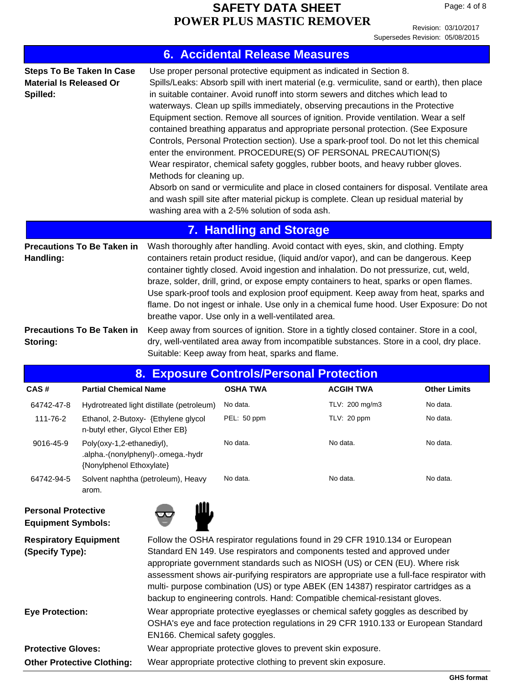Revision: 03/10/2017 Supersedes Revision: 05/08/2015

| <b>6. Accidental Release Measures</b><br>Use proper personal protective equipment as indicated in Section 8.<br><b>Steps To Be Taken In Case</b><br>Spills/Leaks: Absorb spill with inert material (e.g. vermiculite, sand or earth), then place<br><b>Material Is Released Or</b><br>in suitable container. Avoid runoff into storm sewers and ditches which lead to<br>Spilled:<br>waterways. Clean up spills immediately, observing precautions in the Protective<br>Equipment section. Remove all sources of ignition. Provide ventilation. Wear a self<br>contained breathing apparatus and appropriate personal protection. (See Exposure<br>Controls, Personal Protection section). Use a spark-proof tool. Do not let this chemical<br>enter the environment. PROCEDURE(S) OF PERSONAL PRECAUTION(S)<br>Wear respirator, chemical safety goggles, rubber boots, and heavy rubber gloves.<br>Methods for cleaning up.<br>Absorb on sand or vermiculite and place in closed containers for disposal. Ventilate area<br>and wash spill site after material pickup is complete. Clean up residual material by<br>washing area with a 2-5% solution of soda ash. |                                   |                                                               |                                                  |                                                                                                                                                                                       |                     |
|---------------------------------------------------------------------------------------------------------------------------------------------------------------------------------------------------------------------------------------------------------------------------------------------------------------------------------------------------------------------------------------------------------------------------------------------------------------------------------------------------------------------------------------------------------------------------------------------------------------------------------------------------------------------------------------------------------------------------------------------------------------------------------------------------------------------------------------------------------------------------------------------------------------------------------------------------------------------------------------------------------------------------------------------------------------------------------------------------------------------------------------------------------------------|-----------------------------------|---------------------------------------------------------------|--------------------------------------------------|---------------------------------------------------------------------------------------------------------------------------------------------------------------------------------------|---------------------|
|                                                                                                                                                                                                                                                                                                                                                                                                                                                                                                                                                                                                                                                                                                                                                                                                                                                                                                                                                                                                                                                                                                                                                                     |                                   |                                                               | <b>7. Handling and Storage</b>                   |                                                                                                                                                                                       |                     |
| <b>Precautions To Be Taken in</b><br>Wash thoroughly after handling. Avoid contact with eyes, skin, and clothing. Empty<br>containers retain product residue, (liquid and/or vapor), and can be dangerous. Keep<br>Handling:<br>container tightly closed. Avoid ingestion and inhalation. Do not pressurize, cut, weld,<br>braze, solder, drill, grind, or expose empty containers to heat, sparks or open flames.<br>Use spark-proof tools and explosion proof equipment. Keep away from heat, sparks and<br>flame. Do not ingest or inhale. Use only in a chemical fume hood. User Exposure: Do not<br>breathe vapor. Use only in a well-ventilated area.                                                                                                                                                                                                                                                                                                                                                                                                                                                                                                         |                                   |                                                               |                                                  |                                                                                                                                                                                       |                     |
| Storing:                                                                                                                                                                                                                                                                                                                                                                                                                                                                                                                                                                                                                                                                                                                                                                                                                                                                                                                                                                                                                                                                                                                                                            | <b>Precautions To Be Taken in</b> |                                                               | Suitable: Keep away from heat, sparks and flame. | Keep away from sources of ignition. Store in a tightly closed container. Store in a cool,<br>dry, well-ventilated area away from incompatible substances. Store in a cool, dry place. |                     |
|                                                                                                                                                                                                                                                                                                                                                                                                                                                                                                                                                                                                                                                                                                                                                                                                                                                                                                                                                                                                                                                                                                                                                                     |                                   |                                                               | 8. Exposure Controls/Personal Protection         |                                                                                                                                                                                       |                     |
| CAS#                                                                                                                                                                                                                                                                                                                                                                                                                                                                                                                                                                                                                                                                                                                                                                                                                                                                                                                                                                                                                                                                                                                                                                | <b>Partial Chemical Name</b>      |                                                               | <b>OSHA TWA</b>                                  | <b>ACGIH TWA</b>                                                                                                                                                                      | <b>Other Limits</b> |
|                                                                                                                                                                                                                                                                                                                                                                                                                                                                                                                                                                                                                                                                                                                                                                                                                                                                                                                                                                                                                                                                                                                                                                     |                                   | 64742-47-8 Hydrotreated light distillate (petroleum) No data. |                                                  | $TLV: 200 \text{ ma/m}$ 3                                                                                                                                                             | No data.            |

| 64742-47-8 | Hydrotreated light distillate (petroleum)                                                   | No data.    | TLV: 200 mg/m3 | No data. |
|------------|---------------------------------------------------------------------------------------------|-------------|----------------|----------|
| 111-76-2   | Ethanol, 2-Butoxy- {Ethylene glycol<br>n-butyl ether, Glycol Ether EB}                      | PEL: 50 ppm | TLV: 20 ppm    | No data. |
| 9016-45-9  | Poly(oxy-1,2-ethanediyl),<br>.alpha.-(nonylphenyl)-.omega.-hydr<br>{Nonylphenol Ethoxylate} | No data.    | No data.       | No data. |
| 64742-94-5 | Solvent naphtha (petroleum), Heavy<br>arom.                                                 | No data.    | No data.       | No data. |

#### **Personal Protective Equipment Symbols:**



| <b>Respiratory Equipment</b><br>(Specify Type): | Follow the OSHA respirator regulations found in 29 CFR 1910.134 or European<br>Standard EN 149. Use respirators and components tested and approved under<br>appropriate government standards such as NIOSH (US) or CEN (EU). Where risk<br>assessment shows air-purifying respirators are appropriate use a full-face respirator with<br>multi- purpose combination (US) or type ABEK (EN 14387) respirator cartridges as a<br>backup to engineering controls. Hand: Compatible chemical-resistant gloves. |  |  |
|-------------------------------------------------|------------------------------------------------------------------------------------------------------------------------------------------------------------------------------------------------------------------------------------------------------------------------------------------------------------------------------------------------------------------------------------------------------------------------------------------------------------------------------------------------------------|--|--|
| <b>Eye Protection:</b>                          | Wear appropriate protective eyeglasses or chemical safety goggles as described by<br>OSHA's eye and face protection regulations in 29 CFR 1910.133 or European Standard<br>EN166. Chemical safety goggles.                                                                                                                                                                                                                                                                                                 |  |  |
| <b>Protective Gloves:</b>                       | Wear appropriate protective gloves to prevent skin exposure.                                                                                                                                                                                                                                                                                                                                                                                                                                               |  |  |
| <b>Other Protective Clothing:</b>               | Wear appropriate protective clothing to prevent skin exposure.                                                                                                                                                                                                                                                                                                                                                                                                                                             |  |  |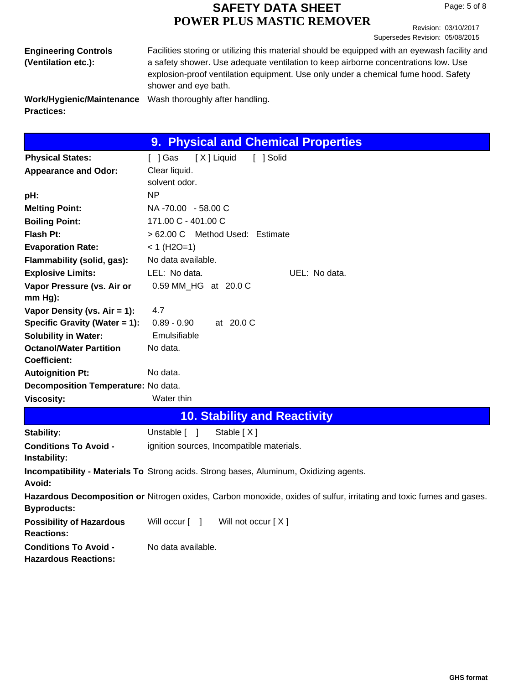Revision: 03/10/2017 Supersedes Revision: 05/08/2015

| <b>Engineering Controls</b>                    | Facilities storing or utilizing this material should be equipped with an eyewash facility and              |
|------------------------------------------------|------------------------------------------------------------------------------------------------------------|
| (Ventilation etc.):                            | a safety shower. Use adequate ventilation to keep airborne concentrations low. Use                         |
|                                                | explosion-proof ventilation equipment. Use only under a chemical fume hood. Safety<br>shower and eye bath. |
| Work/Hygienic/Maintenance<br><b>Practices:</b> | Wash thoroughly after handling.                                                                            |

|                                     | 9. Physical and Chemical Properties    |
|-------------------------------------|----------------------------------------|
| <b>Physical States:</b>             | [X] Liquid<br>[ ] Gas<br>[ ] Solid     |
| <b>Appearance and Odor:</b>         | Clear liquid.                          |
|                                     | solvent odor.                          |
| pH:                                 | <b>NP</b>                              |
| <b>Melting Point:</b>               | NA -70.00 - 58.00 C                    |
| <b>Boiling Point:</b>               | 171.00 C - 401.00 C                    |
| <b>Flash Pt:</b>                    | > 62.00 C Method Used: Estimate        |
| <b>Evaporation Rate:</b>            | $< 1$ (H2O=1)                          |
| Flammability (solid, gas):          | No data available.                     |
| <b>Explosive Limits:</b>            | LEL: No data.<br>UEL: No data.         |
| Vapor Pressure (vs. Air or          | 0.59 MM HG at 20.0 C                   |
| $mm Hg$ :                           |                                        |
| Vapor Density (vs. $Air = 1$ ):     | 4.7                                    |
| Specific Gravity (Water = 1):       | $0.89 - 0.90$<br>at $20.0 \, \text{C}$ |
| <b>Solubility in Water:</b>         | Emulsifiable                           |
| <b>Octanol/Water Partition</b>      | No data.                               |
| Coefficient:                        |                                        |
| <b>Autoignition Pt:</b>             | No data.                               |
| Decomposition Temperature: No data. |                                        |
| <b>Viscosity:</b>                   | Water thin                             |
|                                     | <b>10. Stability and Reactivity</b>    |

| Stability:                                                  | Unstable [ 1<br>Stable [X]                                                                                                  |
|-------------------------------------------------------------|-----------------------------------------------------------------------------------------------------------------------------|
| <b>Conditions To Avoid -</b><br>Instability:                | ignition sources, Incompatible materials.                                                                                   |
| Avoid:                                                      | Incompatibility - Materials To Strong acids. Strong bases, Aluminum, Oxidizing agents.                                      |
| <b>Byproducts:</b>                                          | <b>Hazardous Decomposition or Nitrogen oxides, Carbon monoxide, oxides of sulfur, irritating and toxic fumes and gases.</b> |
| <b>Possibility of Hazardous</b><br><b>Reactions:</b>        | Will occur [ ]<br>Will not occur $[X]$                                                                                      |
| <b>Conditions To Avoid -</b><br><b>Hazardous Reactions:</b> | No data available.                                                                                                          |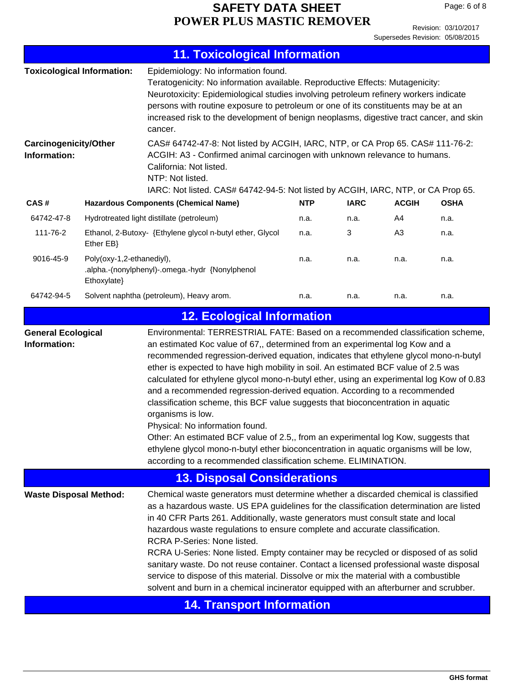Page: 6 of 8

|                                                                                                                                                                                                                                                                                                                                                                                                                                                                                                                                                                                                                                                                                                                                                                                                                                                                                                                                                                | <b>11. Toxicological Information</b>                                                                                                                                                                                                                                                                                                                                                                                                          |                                                                                                                                  |                                                                                                                                                             |             |                |             |  |
|----------------------------------------------------------------------------------------------------------------------------------------------------------------------------------------------------------------------------------------------------------------------------------------------------------------------------------------------------------------------------------------------------------------------------------------------------------------------------------------------------------------------------------------------------------------------------------------------------------------------------------------------------------------------------------------------------------------------------------------------------------------------------------------------------------------------------------------------------------------------------------------------------------------------------------------------------------------|-----------------------------------------------------------------------------------------------------------------------------------------------------------------------------------------------------------------------------------------------------------------------------------------------------------------------------------------------------------------------------------------------------------------------------------------------|----------------------------------------------------------------------------------------------------------------------------------|-------------------------------------------------------------------------------------------------------------------------------------------------------------|-------------|----------------|-------------|--|
|                                                                                                                                                                                                                                                                                                                                                                                                                                                                                                                                                                                                                                                                                                                                                                                                                                                                                                                                                                | Epidemiology: No information found.<br><b>Toxicological Information:</b><br>Teratogenicity: No information available. Reproductive Effects: Mutagenicity:<br>Neurotoxicity: Epidemiological studies involving petroleum refinery workers indicate<br>persons with routine exposure to petroleum or one of its constituents may be at an<br>increased risk to the development of benign neoplasms, digestive tract cancer, and skin<br>cancer. |                                                                                                                                  |                                                                                                                                                             |             |                |             |  |
| <b>Carcinogenicity/Other</b><br>Information:                                                                                                                                                                                                                                                                                                                                                                                                                                                                                                                                                                                                                                                                                                                                                                                                                                                                                                                   |                                                                                                                                                                                                                                                                                                                                                                                                                                               | California: Not listed.<br>NTP: Not listed.<br>IARC: Not listed. CAS# 64742-94-5: Not listed by ACGIH, IARC, NTP, or CA Prop 65. | CAS# 64742-47-8: Not listed by ACGIH, IARC, NTP, or CA Prop 65. CAS# 111-76-2:<br>ACGIH: A3 - Confirmed animal carcinogen with unknown relevance to humans. |             |                |             |  |
| CAS#                                                                                                                                                                                                                                                                                                                                                                                                                                                                                                                                                                                                                                                                                                                                                                                                                                                                                                                                                           |                                                                                                                                                                                                                                                                                                                                                                                                                                               | <b>Hazardous Components (Chemical Name)</b>                                                                                      | <b>NTP</b>                                                                                                                                                  | <b>IARC</b> | <b>ACGIH</b>   | <b>OSHA</b> |  |
| 64742-47-8                                                                                                                                                                                                                                                                                                                                                                                                                                                                                                                                                                                                                                                                                                                                                                                                                                                                                                                                                     |                                                                                                                                                                                                                                                                                                                                                                                                                                               | Hydrotreated light distillate (petroleum)                                                                                        | n.a.                                                                                                                                                        | n.a.        | A4             | n.a.        |  |
| 111-76-2                                                                                                                                                                                                                                                                                                                                                                                                                                                                                                                                                                                                                                                                                                                                                                                                                                                                                                                                                       | Ether EB}                                                                                                                                                                                                                                                                                                                                                                                                                                     | Ethanol, 2-Butoxy- {Ethylene glycol n-butyl ether, Glycol                                                                        | n.a.                                                                                                                                                        | 3           | A <sub>3</sub> | n.a.        |  |
| 9016-45-9                                                                                                                                                                                                                                                                                                                                                                                                                                                                                                                                                                                                                                                                                                                                                                                                                                                                                                                                                      | Poly(oxy-1,2-ethanediyl),<br>.alpha.-(nonylphenyl)-.omega.-hydr {Nonylphenol<br>Ethoxylate}                                                                                                                                                                                                                                                                                                                                                   |                                                                                                                                  | n.a.                                                                                                                                                        | n.a.        | n.a.           | n.a.        |  |
| 64742-94-5                                                                                                                                                                                                                                                                                                                                                                                                                                                                                                                                                                                                                                                                                                                                                                                                                                                                                                                                                     |                                                                                                                                                                                                                                                                                                                                                                                                                                               | Solvent naphtha (petroleum), Heavy arom.                                                                                         | n.a.                                                                                                                                                        | n.a.        | n.a.           | n.a.        |  |
|                                                                                                                                                                                                                                                                                                                                                                                                                                                                                                                                                                                                                                                                                                                                                                                                                                                                                                                                                                |                                                                                                                                                                                                                                                                                                                                                                                                                                               | <b>12. Ecological Information</b>                                                                                                |                                                                                                                                                             |             |                |             |  |
| Environmental: TERRESTRIAL FATE: Based on a recommended classification scheme,<br><b>General Ecological</b><br>Information:<br>an estimated Koc value of 67,, determined from an experimental log Kow and a<br>recommended regression-derived equation, indicates that ethylene glycol mono-n-butyl<br>ether is expected to have high mobility in soil. An estimated BCF value of 2.5 was<br>calculated for ethylene glycol mono-n-butyl ether, using an experimental log Kow of 0.83<br>and a recommended regression-derived equation. According to a recommended<br>classification scheme, this BCF value suggests that bioconcentration in aquatic<br>organisms is low.<br>Physical: No information found.<br>Other: An estimated BCF value of 2.5,, from an experimental log Kow, suggests that<br>ethylene glycol mono-n-butyl ether bioconcentration in aquatic organisms will be low,<br>according to a recommended classification scheme. ELIMINATION. |                                                                                                                                                                                                                                                                                                                                                                                                                                               |                                                                                                                                  |                                                                                                                                                             |             |                |             |  |
|                                                                                                                                                                                                                                                                                                                                                                                                                                                                                                                                                                                                                                                                                                                                                                                                                                                                                                                                                                |                                                                                                                                                                                                                                                                                                                                                                                                                                               | <b>13. Disposal Considerations</b>                                                                                               |                                                                                                                                                             |             |                |             |  |
| <b>Waste Disposal Method:</b><br>Chemical waste generators must determine whether a discarded chemical is classified<br>as a hazardous waste. US EPA guidelines for the classification determination are listed<br>in 40 CFR Parts 261. Additionally, waste generators must consult state and local<br>hazardous waste regulations to ensure complete and accurate classification.<br>RCRA P-Series: None listed.<br>RCRA U-Series: None listed. Empty container may be recycled or disposed of as solid<br>sanitary waste. Do not reuse container. Contact a licensed professional waste disposal<br>service to dispose of this material. Dissolve or mix the material with a combustible<br>solvent and burn in a chemical incinerator equipped with an afterburner and scrubber.                                                                                                                                                                            |                                                                                                                                                                                                                                                                                                                                                                                                                                               |                                                                                                                                  |                                                                                                                                                             |             |                |             |  |
|                                                                                                                                                                                                                                                                                                                                                                                                                                                                                                                                                                                                                                                                                                                                                                                                                                                                                                                                                                |                                                                                                                                                                                                                                                                                                                                                                                                                                               | <b>14. Transport Information</b>                                                                                                 |                                                                                                                                                             |             |                |             |  |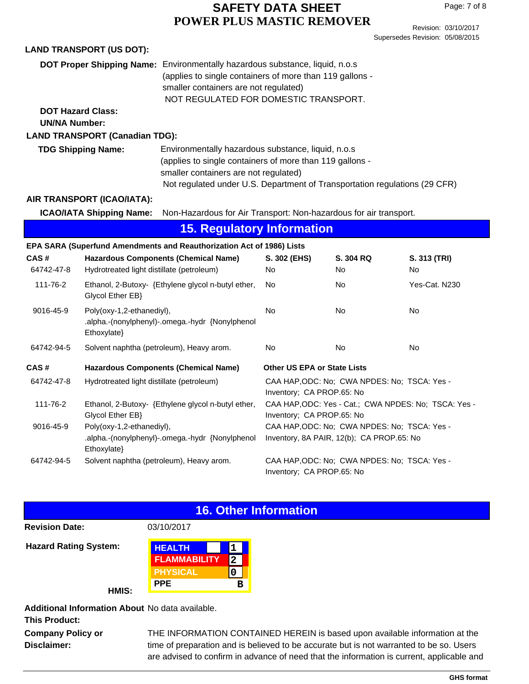Revision: 03/10/2017 Supersedes Revision: 05/08/2015

|                                                                       | <b>LAND TRANSPORT (US DOT):</b>                                                             |                                                                                                                                                                                                                                       |                                                                                           |                 |                    |  |  |
|-----------------------------------------------------------------------|---------------------------------------------------------------------------------------------|---------------------------------------------------------------------------------------------------------------------------------------------------------------------------------------------------------------------------------------|-------------------------------------------------------------------------------------------|-----------------|--------------------|--|--|
|                                                                       |                                                                                             | DOT Proper Shipping Name: Environmentally hazardous substance, liquid, n.o.s<br>(applies to single containers of more than 119 gallons -<br>smaller containers are not regulated)<br>NOT REGULATED FOR DOMESTIC TRANSPORT.            |                                                                                           |                 |                    |  |  |
| <b>DOT Hazard Class:</b><br><b>UN/NA Number:</b>                      |                                                                                             |                                                                                                                                                                                                                                       |                                                                                           |                 |                    |  |  |
| <b>LAND TRANSPORT (Canadian TDG):</b>                                 |                                                                                             |                                                                                                                                                                                                                                       |                                                                                           |                 |                    |  |  |
| <b>TDG Shipping Name:</b>                                             |                                                                                             | Environmentally hazardous substance, liquid, n.o.s<br>(applies to single containers of more than 119 gallons -<br>smaller containers are not regulated)<br>Not regulated under U.S. Department of Transportation regulations (29 CFR) |                                                                                           |                 |                    |  |  |
| AIR TRANSPORT (ICAO/IATA):                                            |                                                                                             |                                                                                                                                                                                                                                       |                                                                                           |                 |                    |  |  |
|                                                                       | <b>ICAO/IATA Shipping Name:</b>                                                             | Non-Hazardous for Air Transport: Non-hazardous for air transport.                                                                                                                                                                     |                                                                                           |                 |                    |  |  |
| <b>15. Regulatory Information</b>                                     |                                                                                             |                                                                                                                                                                                                                                       |                                                                                           |                 |                    |  |  |
| EPA SARA (Superfund Amendments and Reauthorization Act of 1986) Lists |                                                                                             |                                                                                                                                                                                                                                       |                                                                                           |                 |                    |  |  |
| CAS#<br>64742-47-8                                                    | <b>Hazardous Components (Chemical Name)</b><br>Hydrotreated light distillate (petroleum)    |                                                                                                                                                                                                                                       | S. 302 (EHS)<br>No                                                                        | S. 304 RQ<br>No | S. 313 (TRI)<br>No |  |  |
| 111-76-2                                                              | Glycol Ether EB}                                                                            | Ethanol, 2-Butoxy- {Ethylene glycol n-butyl ether,                                                                                                                                                                                    | No.                                                                                       | No              | Yes-Cat. N230      |  |  |
| 9016-45-9                                                             | Poly(oxy-1,2-ethanediyl),<br>.alpha.-(nonylphenyl)-.omega.-hydr {Nonylphenol<br>Ethoxylate} |                                                                                                                                                                                                                                       | No                                                                                        | No              | No                 |  |  |
| 64742-94-5                                                            | Solvent naphtha (petroleum), Heavy arom.                                                    |                                                                                                                                                                                                                                       | No                                                                                        | No              | <b>No</b>          |  |  |
| CAS#                                                                  | <b>Hazardous Components (Chemical Name)</b>                                                 |                                                                                                                                                                                                                                       | <b>Other US EPA or State Lists</b>                                                        |                 |                    |  |  |
| 64742-47-8                                                            | Hydrotreated light distillate (petroleum)                                                   |                                                                                                                                                                                                                                       | CAA HAP, ODC: No; CWA NPDES: No; TSCA: Yes -<br>Inventory; CA PROP.65: No                 |                 |                    |  |  |
| 111-76-2                                                              | Ethanol, 2-Butoxy- {Ethylene glycol n-butyl ether,<br>Glycol Ether EB}                      |                                                                                                                                                                                                                                       | CAA HAP, ODC: Yes - Cat.; CWA NPDES: No; TSCA: Yes -<br>Inventory; CA PROP.65: No         |                 |                    |  |  |
| 9016-45-9                                                             | Poly(oxy-1,2-ethanediyl),<br>.alpha.-(nonylphenyl)-.omega.-hydr {Nonylphenol<br>Ethoxylate} |                                                                                                                                                                                                                                       | CAA HAP, ODC: No; CWA NPDES: No; TSCA: Yes -<br>Inventory, 8A PAIR, 12(b); CA PROP.65: No |                 |                    |  |  |
| 64742-94-5                                                            | Solvent naphtha (petroleum), Heavy arom.                                                    |                                                                                                                                                                                                                                       | CAA HAP, ODC: No; CWA NPDES: No; TSCA: Yes -<br>Inventory; CA PROP.65: No                 |                 |                    |  |  |

## **16. Other Information**

**1**

**0 2**

**B**

| <b>Revision Date:</b>        | 03/10/2017          |  |  |
|------------------------------|---------------------|--|--|
| <b>Hazard Rating System:</b> | <b>HEALTH</b>       |  |  |
|                              | <b>FLAMMABILITY</b> |  |  |
|                              | <b>PHYSICAL</b>     |  |  |
|                              | <b>PPE</b>          |  |  |

**HMIS:**

**Additional Information About** No data available.

**This Product:**

**Company Policy or Disclaimer:**

THE INFORMATION CONTAINED HEREIN is based upon available information at the time of preparation and is believed to be accurate but is not warranted to be so. Users are advised to confirm in advance of need that the information is current, applicable and